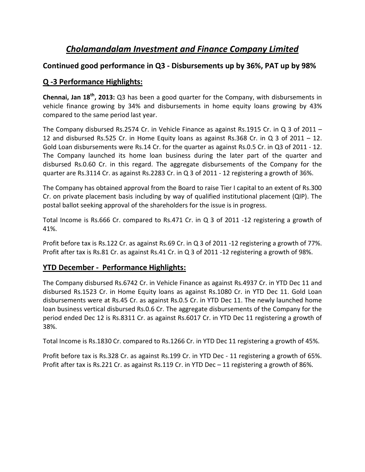# *Cholamandalam Investment and Finance Company Limited*

#### **Continued good performance in Q3 - Disbursements up by 36%, PAT up by 98%**

## **Q -3 Performance Highlights:**

**Chennai, Jan 18th, 2013:** Q3 has been a good quarter for the Company, with disbursements in vehicle finance growing by 34% and disbursements in home equity loans growing by 43% compared to the same period last year.

The Company disbursed Rs.2574 Cr. in Vehicle Finance as against Rs.1915 Cr. in Q 3 of 2011 – 12 and disbursed Rs.525 Cr. in Home Equity loans as against Rs.368 Cr. in Q 3 of 2011 – 12. Gold Loan disbursements were Rs.14 Cr. for the quarter as against Rs.0.5 Cr. in Q3 of 2011 - 12. The Company launched its home loan business during the later part of the quarter and disbursed Rs.0.60 Cr. in this regard. The aggregate disbursements of the Company for the quarter are Rs.3114 Cr. as against Rs.2283 Cr. in Q 3 of 2011 - 12 registering a growth of 36%.

The Company has obtained approval from the Board to raise Tier I capital to an extent of Rs.300 Cr. on private placement basis including by way of qualified institutional placement (QIP). The postal ballot seeking approval of the shareholders for the issue is in progress.

Total Income is Rs.666 Cr. compared to Rs.471 Cr. in Q 3 of 2011 -12 registering a growth of 41%.

Profit before tax is Rs.122 Cr. as against Rs.69 Cr. in Q 3 of 2011 -12 registering a growth of 77%. Profit after tax is Rs.81 Cr. as against Rs.41 Cr. in Q 3 of 2011 -12 registering a growth of 98%.

## **YTD December - Performance Highlights:**

The Company disbursed Rs.6742 Cr. in Vehicle Finance as against Rs.4937 Cr. in YTD Dec 11 and disbursed Rs.1523 Cr. in Home Equity loans as against Rs.1080 Cr. in YTD Dec 11. Gold Loan disbursements were at Rs.45 Cr. as against Rs.0.5 Cr. in YTD Dec 11. The newly launched home loan business vertical disbursed Rs.0.6 Cr. The aggregate disbursements of the Company for the period ended Dec 12 is Rs.8311 Cr. as against Rs.6017 Cr. in YTD Dec 11 registering a growth of 38%.

Total Income is Rs.1830 Cr. compared to Rs.1266 Cr. in YTD Dec 11 registering a growth of 45%.

Profit before tax is Rs.328 Cr. as against Rs.199 Cr. in YTD Dec - 11 registering a growth of 65%. Profit after tax is Rs.221 Cr. as against Rs.119 Cr. in YTD Dec – 11 registering a growth of 86%.